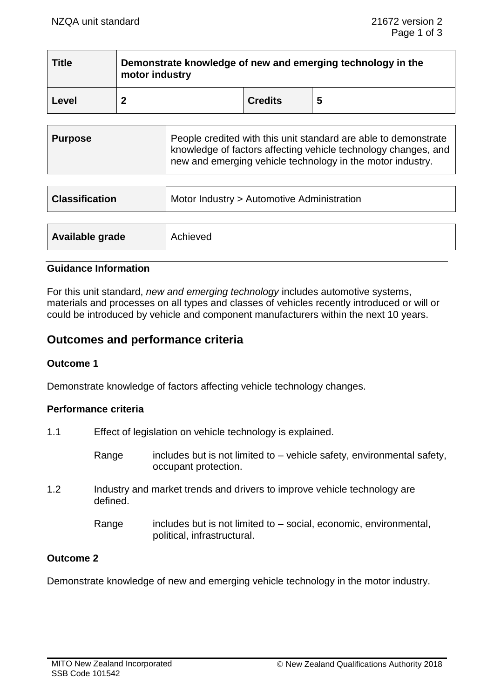$\overline{\phantom{a}}$  . The contract of the contract of the contract of the contract of the contract of the contract of the contract of the contract of the contract of the contract of the contract of the contract of the contract of

| <b>Title</b> | Demonstrate knowledge of new and emerging technology in the<br>motor industry |                |   |
|--------------|-------------------------------------------------------------------------------|----------------|---|
| Level        |                                                                               | <b>Credits</b> | 5 |

| <b>Classification</b> | Motor Industry > Automotive Administration |
|-----------------------|--------------------------------------------|
|                       |                                            |
| Available grade       | Achieved                                   |

#### **Guidance Information**

For this unit standard, *new and emerging technology* includes automotive systems, materials and processes on all types and classes of vehicles recently introduced or will or could be introduced by vehicle and component manufacturers within the next 10 years.

# **Outcomes and performance criteria**

## **Outcome 1**

Demonstrate knowledge of factors affecting vehicle technology changes.

#### **Performance criteria**

| 1.1 | Effect of legislation on vehicle technology is explained. |                                                                                                    |  |
|-----|-----------------------------------------------------------|----------------------------------------------------------------------------------------------------|--|
|     | Range                                                     | includes but is not limited to - vehicle safety, environmental safety,<br>occupant protection.     |  |
| 1.2 | defined.                                                  | Industry and market trends and drivers to improve vehicle technology are                           |  |
|     | Range                                                     | includes but is not limited to $-$ social, economic, environmental,<br>political, infrastructural. |  |

## **Outcome 2**

Demonstrate knowledge of new and emerging vehicle technology in the motor industry.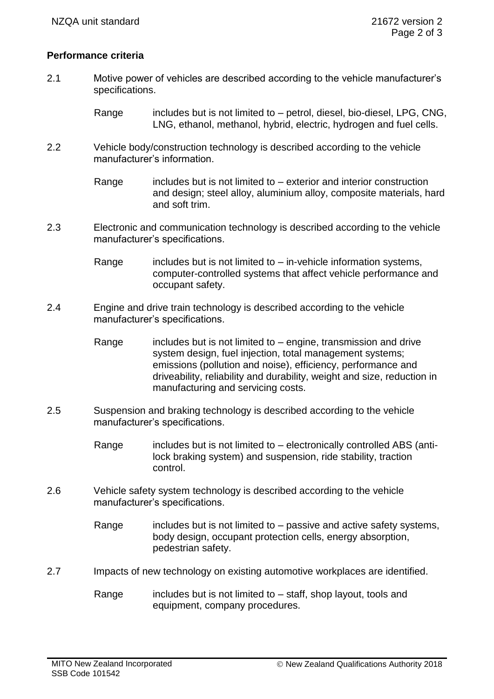# **Performance criteria**

- 2.1 Motive power of vehicles are described according to the vehicle manufacturer's specifications.
	- Range includes but is not limited to  $-$  petrol, diesel, bio-diesel, LPG, CNG, LNG, ethanol, methanol, hybrid, electric, hydrogen and fuel cells.
- 2.2 Vehicle body/construction technology is described according to the vehicle manufacturer's information.

Range  $\qquad$  includes but is not limited to – exterior and interior construction and design; steel alloy, aluminium alloy, composite materials, hard and soft trim.

2.3 Electronic and communication technology is described according to the vehicle manufacturer's specifications.

> Range includes but is not limited to  $-$  in-vehicle information systems, computer-controlled systems that affect vehicle performance and occupant safety.

- 2.4 Engine and drive train technology is described according to the vehicle manufacturer's specifications.
	- Range includes but is not limited to  $-$  engine, transmission and drive system design, fuel injection, total management systems; emissions (pollution and noise), efficiency, performance and driveability, reliability and durability, weight and size, reduction in manufacturing and servicing costs.
- 2.5 Suspension and braking technology is described according to the vehicle manufacturer's specifications.
	- Range includes but is not limited to electronically controlled ABS (antilock braking system) and suspension, ride stability, traction control.
- 2.6 Vehicle safety system technology is described according to the vehicle manufacturer's specifications.

Range includes but is not limited to  $-$  passive and active safety systems, body design, occupant protection cells, energy absorption, pedestrian safety.

- 2.7 Impacts of new technology on existing automotive workplaces are identified.
	- Range includes but is not limited to  $-$  staff, shop layout, tools and equipment, company procedures.